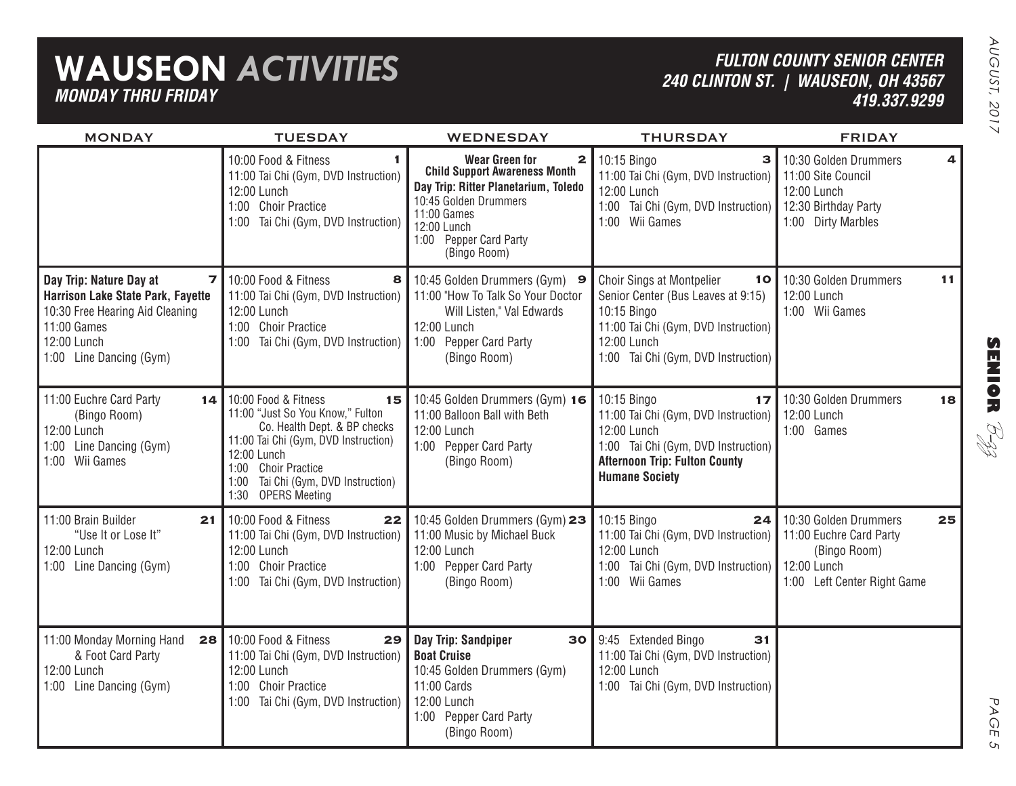## **WAUSEON** *ACTIVITIES MONDAY THRU FRIDAY*

### *FULTON COUNTY SENIOR CENTER 240 CLINTON ST. | WAUSEON, OH 43567 419.337.9299*

| Ξ |
|---|
|   |
|   |

PAGE 5

 $\sigma$ 

PAGE

| <b>MONDAY</b>                                                                                                                                                 | <b>TUESDAY</b>                                                                                                                                                                                                                               | <b>WEDNESDAY</b>                                                                                                                                                                                                       | <b>THURSDAY</b>                                                                                                                                                                           | <b>FRIDAY</b>                                                                                                  |                         |
|---------------------------------------------------------------------------------------------------------------------------------------------------------------|----------------------------------------------------------------------------------------------------------------------------------------------------------------------------------------------------------------------------------------------|------------------------------------------------------------------------------------------------------------------------------------------------------------------------------------------------------------------------|-------------------------------------------------------------------------------------------------------------------------------------------------------------------------------------------|----------------------------------------------------------------------------------------------------------------|-------------------------|
|                                                                                                                                                               | 10:00 Food & Fitness<br>11:00 Tai Chi (Gym, DVD Instruction)<br>12:00 Lunch<br>1:00 Choir Practice<br>1:00 Tai Chi (Gym, DVD Instruction)                                                                                                    | <b>Wear Green for</b><br>$\mathbf{z}$<br><b>Child Support Awareness Month</b><br>Day Trip: Ritter Planetarium, Toledo<br>10:45 Golden Drummers<br>11:00 Games<br>12:00 Lunch<br>1:00 Pepper Card Party<br>(Bingo Room) | 10:15 Bingo<br>з<br>11:00 Tai Chi (Gym, DVD Instruction)<br>12:00 Lunch<br>1:00 Tai Chi (Gym, DVD Instruction)<br>1:00 Wii Games                                                          | 10:30 Golden Drummers<br>11:00 Site Council<br>12:00 Lunch<br>12:30 Birthday Party<br>1:00 Dirty Marbles       | $\overline{\mathbf{4}}$ |
| Day Trip: Nature Day at<br>7<br>Harrison Lake State Park, Fayette<br>10:30 Free Hearing Aid Cleaning<br>11:00 Games<br>12:00 Lunch<br>1:00 Line Dancing (Gym) | 10:00 Food & Fitness<br>8<br>11:00 Tai Chi (Gym, DVD Instruction)<br>12:00 Lunch<br>1:00 Choir Practice<br>1:00 Tai Chi (Gym, DVD Instruction)                                                                                               | 10:45 Golden Drummers (Gym) 9<br>11:00 "How To Talk So Your Doctor<br>Will Listen," Val Edwards<br>12:00 Lunch<br>1:00 Pepper Card Party<br>(Bingo Room)                                                               | <b>Choir Sings at Montpelier</b><br>10<br>Senior Center (Bus Leaves at 9:15)<br>10:15 Bingo<br>11:00 Tai Chi (Gym, DVD Instruction)<br>12:00 Lunch<br>1:00 Tai Chi (Gym, DVD Instruction) | 10:30 Golden Drummers<br>12:00 Lunch<br>1:00 Wii Games                                                         | 11                      |
| 11:00 Euchre Card Party<br>14<br>(Bingo Room)<br>12:00 Lunch<br>1:00 Line Dancing (Gym)<br>1:00 Wii Games                                                     | 10:00 Food & Fitness<br>15<br>11:00 "Just So You Know," Fulton<br>Co. Health Dept. & BP checks<br>11:00 Tai Chi (Gym, DVD Instruction)<br>12:00 Lunch<br>1:00 Choir Practice<br>Tai Chi (Gym, DVD Instruction)<br>1:00<br>1:30 OPERS Meeting | 10:45 Golden Drummers (Gym) 16<br>11:00 Balloon Ball with Beth<br>12:00 Lunch<br>1:00 Pepper Card Party<br>(Bingo Room)                                                                                                | 10:15 Bingo<br>17<br>11:00 Tai Chi (Gym, DVD Instruction)<br>12:00 Lunch<br>1:00 Tai Chi (Gym, DVD Instruction)<br><b>Afternoon Trip: Fulton County</b><br><b>Humane Society</b>          | 10:30 Golden Drummers<br>12:00 Lunch<br>1:00 Games                                                             | 18                      |
| 11:00 Brain Builder<br>21<br>"Use It or Lose It"<br>12:00 Lunch<br>1:00 Line Dancing (Gym)                                                                    | 10:00 Food & Fitness<br>22<br>11:00 Tai Chi (Gym, DVD Instruction)<br>12:00 Lunch<br>1:00 Choir Practice<br>1:00 Tai Chi (Gym, DVD Instruction)                                                                                              | 10:45 Golden Drummers (Gym) 23<br>11:00 Music by Michael Buck<br>12:00 Lunch<br>1:00 Pepper Card Party<br>(Bingo Room)                                                                                                 | 10:15 Bingo<br>24<br>11:00 Tai Chi (Gym, DVD Instruction)<br>12:00 Lunch<br>1:00 Tai Chi (Gym, DVD Instruction)<br>1:00 Wii Games                                                         | 10:30 Golden Drummers<br>11:00 Euchre Card Party<br>(Bingo Room)<br>12:00 Lunch<br>1:00 Left Center Right Game | 25                      |
| 11:00 Monday Morning Hand<br>28<br>& Foot Card Party<br>12:00 Lunch<br>1:00 Line Dancing (Gym)                                                                | 10:00 Food & Fitness<br>29<br>11:00 Tai Chi (Gym, DVD Instruction)<br>12:00 Lunch<br>1:00 Choir Practice<br>1:00 Tai Chi (Gym, DVD Instruction)                                                                                              | Day Trip: Sandpiper<br>30<br><b>Boat Cruise</b><br>10:45 Golden Drummers (Gym)<br>11:00 Cards<br>12:00 Lunch<br>1:00 Pepper Card Party<br>(Bingo Room)                                                                 | 9:45 Extended Bingo<br>31<br>11:00 Tai Chi (Gym, DVD Instruction)<br>12:00 Lunch<br>1:00 Tai Chi (Gym, DVD Instruction)                                                                   |                                                                                                                |                         |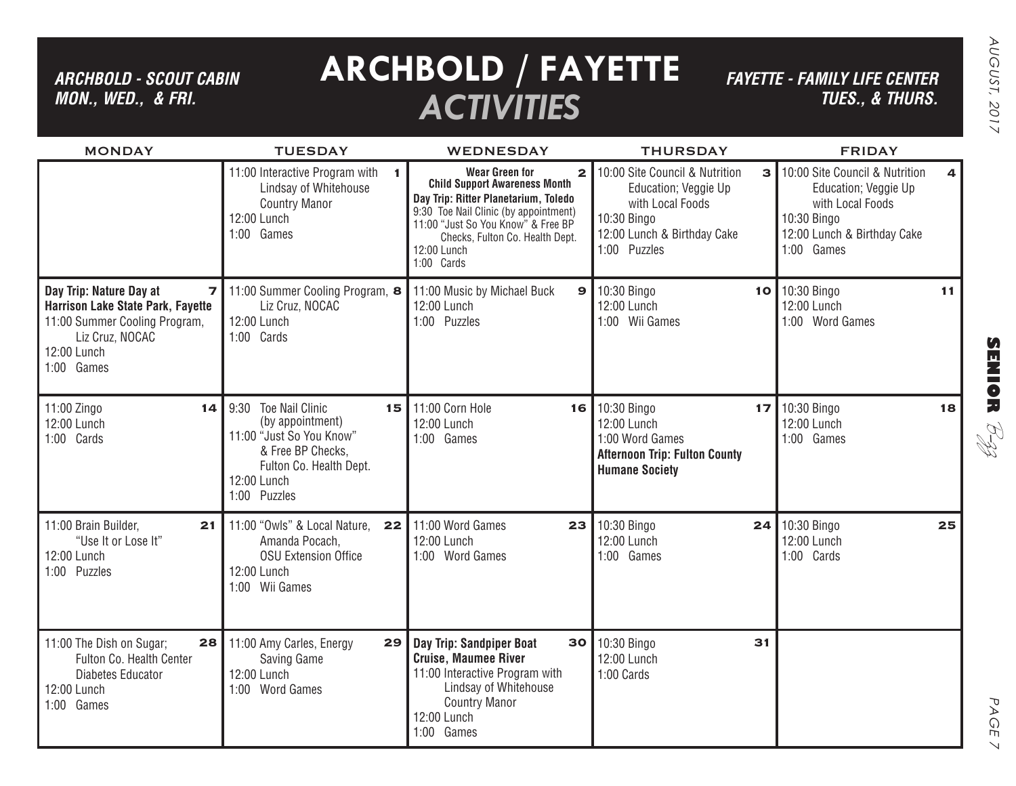*ARCHBOLD - SCOUT CABIN MON., WED., & FRI.*

# **ARCHBOLD / FAYETTE** *ACTIVITIES*

*FAYETTE - FAMILY LIFE CENTER TUES., & THURS.*

| <b>MONDAY</b>                                                                                                                                                          | <b>TUESDAY</b>                                                                                                                                                      | <b>WEDNESDAY</b>                                                                                                                                                                                                                                              | <b>THURSDAY</b>                                                                                                                                                     | <b>FRIDAY</b>                                                                                                                                                     |
|------------------------------------------------------------------------------------------------------------------------------------------------------------------------|---------------------------------------------------------------------------------------------------------------------------------------------------------------------|---------------------------------------------------------------------------------------------------------------------------------------------------------------------------------------------------------------------------------------------------------------|---------------------------------------------------------------------------------------------------------------------------------------------------------------------|-------------------------------------------------------------------------------------------------------------------------------------------------------------------|
|                                                                                                                                                                        | 11:00 Interactive Program with<br>1.<br>Lindsay of Whitehouse<br><b>Country Manor</b><br>12:00 Lunch<br>1:00 Games                                                  | Wear Green for<br>$\mathbf{2}$<br><b>Child Support Awareness Month</b><br>Day Trip: Ritter Planetarium, Toledo<br>9:30 Toe Nail Clinic (by appointment)<br>11:00 "Just So You Know" & Free BP<br>Checks, Fulton Co. Health Dept.<br>12:00 Lunch<br>1:00 Cards | 10:00 Site Council & Nutrition<br>$\overline{\mathbf{3}}$<br>Education; Veggie Up<br>with Local Foods<br>10:30 Bingo<br>12:00 Lunch & Birthday Cake<br>1:00 Puzzles | 10:00 Site Council & Nutrition<br>$\overline{\mathbf{4}}$<br>Education; Veggie Up<br>with Local Foods<br>10:30 Bingo<br>12:00 Lunch & Birthday Cake<br>1:00 Games |
| Day Trip: Nature Day at<br>$\overline{z}$<br><b>Harrison Lake State Park, Fayette</b><br>11:00 Summer Cooling Program,<br>Liz Cruz, NOCAC<br>12:00 Lunch<br>1:00 Games | 11:00 Summer Cooling Program, 8<br>Liz Cruz, NOCAC<br>12:00 Lunch<br>1:00 Cards                                                                                     | 11:00 Music by Michael Buck<br>9<br>12:00 Lunch<br>1:00 Puzzles                                                                                                                                                                                               | 10:30 Bingo<br>12:00 Lunch<br>1:00 Wii Games                                                                                                                        | 10 10:30 Bingo<br>11<br>12:00 Lunch<br>1:00 Word Games                                                                                                            |
| 11:00 Zingo<br>14<br>12:00 Lunch<br>1:00 Cards                                                                                                                         | 9:30<br><b>Toe Nail Clinic</b><br>15<br>(by appointment)<br>11:00 "Just So You Know"<br>& Free BP Checks,<br>Fulton Co. Health Dept.<br>12:00 Lunch<br>1:00 Puzzles | 11:00 Corn Hole<br>16<br>12:00 Lunch<br>1:00 Games                                                                                                                                                                                                            | 10:30 Bingo<br>17<br>12:00 Lunch<br>1:00 Word Games<br><b>Afternoon Trip: Fulton County</b><br><b>Humane Society</b>                                                | 10:30 Bingo<br>18<br>12:00 Lunch<br>1:00 Games                                                                                                                    |
| 11:00 Brain Builder,<br>21<br>"Use It or Lose It"<br>12:00 Lunch<br>1:00 Puzzles                                                                                       | 11:00 "Owls" & Local Nature,<br>22<br>Amanda Pocach,<br><b>OSU Extension Office</b><br>12:00 Lunch<br>1:00 Wii Games                                                | 11:00 Word Games<br>23<br>12:00 Lunch<br>1:00 Word Games                                                                                                                                                                                                      | 10:30 Bingo<br>24<br>12:00 Lunch<br>1:00 Games                                                                                                                      | 10:30 Bingo<br>25<br>12:00 Lunch<br>1:00 Cards                                                                                                                    |
| 11:00 The Dish on Sugar;<br>28<br>Fulton Co. Health Center<br>Diabetes Educator<br>12:00 Lunch<br>1:00 Games                                                           | 11:00 Amy Carles, Energy<br>29<br>Saving Game<br>12:00 Lunch<br>1:00 Word Games                                                                                     | Day Trip: Sandpiper Boat<br>30<br><b>Cruise, Maumee River</b><br>11:00 Interactive Program with<br>Lindsay of Whitehouse<br><b>Country Manor</b><br>12:00 Lunch<br>1:00 Games                                                                                 | 10:30 Bingo<br>31<br>12:00 Lunch<br>1:00 Cards                                                                                                                      |                                                                                                                                                                   |

**SENIOR**

B-zz